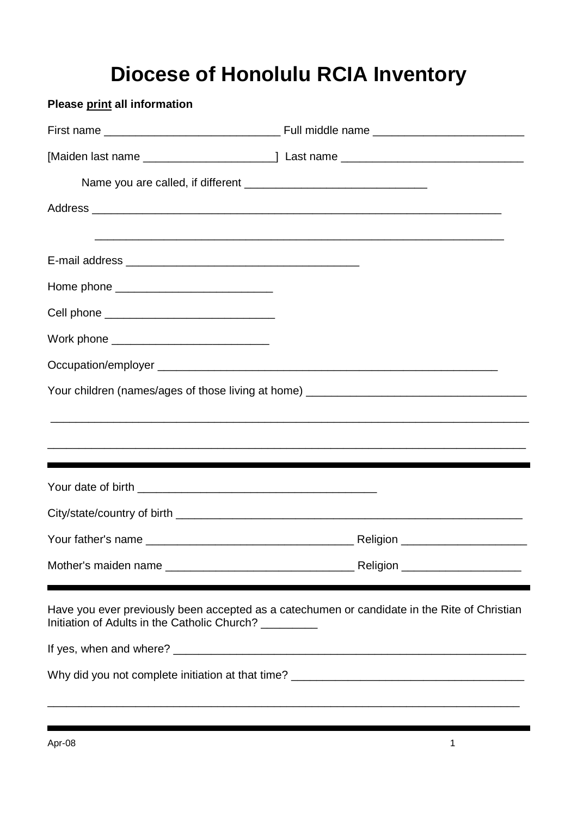## **Diocese of Honolulu RCIA Inventory**

**Please print all information** First name \_\_\_\_\_\_\_\_\_\_\_\_\_\_\_\_\_\_\_\_\_\_\_\_\_\_\_\_ Full middle name \_\_\_\_\_\_\_\_\_\_\_\_\_\_\_\_\_\_\_\_\_\_\_\_ [Maiden last name \_\_\_\_\_\_\_\_\_\_\_\_\_\_\_\_\_\_\_\_\_] Last name \_\_\_\_\_\_\_\_\_\_\_\_\_\_\_\_\_\_\_\_\_\_\_\_\_\_\_\_\_ Name you are called, if different \_\_\_\_\_\_\_\_\_\_\_\_\_\_\_\_\_\_\_\_\_\_\_\_\_\_\_\_\_ Address **and a set of the set of the set of the set of the set of the set of the set of the set of the set of the set of the set of the set of the set of the set of the set of the set of the set of the set of the set of th** \_\_\_\_\_\_\_\_\_\_\_\_\_\_\_\_\_\_\_\_\_\_\_\_\_\_\_\_\_\_\_\_\_\_\_\_\_\_\_\_\_\_\_\_\_\_\_\_\_\_\_\_\_\_\_\_\_\_\_\_\_\_\_\_\_ E-mail address **E-mail address** Home phone \_\_\_\_\_\_\_\_\_\_\_\_\_\_\_\_\_\_\_\_\_\_\_\_\_ Cell phone  $\Box$ Work phone \_\_\_\_\_\_\_\_\_\_\_\_\_\_\_\_\_\_\_\_\_\_\_\_\_ Occupation/employer \_\_\_\_\_\_\_\_\_\_\_\_\_\_\_\_\_\_\_\_\_\_\_\_\_\_\_\_\_\_\_\_\_\_\_\_\_\_\_\_\_\_\_\_\_\_\_\_\_\_\_\_\_\_ Your children (names/ages of those living at home) \_\_\_\_\_\_\_\_\_\_\_\_\_\_\_\_\_\_\_\_\_\_\_\_\_\_\_\_\_\_ \_\_\_\_\_\_\_\_\_\_\_\_\_\_\_\_\_\_\_\_\_\_\_\_\_\_\_\_\_\_\_\_\_\_\_\_\_\_\_\_\_\_\_\_\_\_\_\_\_\_\_\_\_\_\_\_\_\_\_\_\_\_\_\_\_\_\_\_\_\_\_\_\_\_\_\_ \_\_\_\_\_\_\_\_\_\_\_\_\_\_\_\_\_\_\_\_\_\_\_\_\_\_\_\_\_\_\_\_\_\_\_\_\_\_\_\_\_\_\_\_\_\_\_\_\_\_\_\_\_\_\_\_\_\_\_\_\_\_\_\_\_\_\_\_\_\_\_\_\_\_\_\_ Your date of birth \_\_\_\_\_\_\_\_\_\_\_\_\_\_\_\_\_\_\_\_\_\_\_\_\_\_\_\_\_\_\_\_\_\_\_\_\_\_ City/state/country of birth \_\_\_\_\_\_\_\_\_\_\_\_\_\_\_\_\_\_\_\_\_\_\_\_\_\_\_\_\_\_\_\_\_\_\_\_\_\_\_\_\_\_\_\_\_\_\_\_\_\_\_\_\_\_\_ Your father's name \_\_\_\_\_\_\_\_\_\_\_\_\_\_\_\_\_\_\_\_\_\_\_\_\_\_\_\_\_\_\_\_\_ Religion \_\_\_\_\_\_\_\_\_\_\_\_\_\_\_\_\_\_\_\_ Mother's maiden name \_\_\_\_\_\_\_\_\_\_\_\_\_\_\_\_\_\_\_\_\_\_\_\_\_\_\_\_\_\_ Religion \_\_\_\_\_\_\_\_\_\_\_\_\_\_\_\_\_\_\_ Have you ever previously been accepted as a catechumen or candidate in the Rite of Christian Initiation of Adults in the Catholic Church? If yes, when and where?  $\blacksquare$ Why did you not complete initiation at that time? \_\_\_\_\_\_\_\_\_\_\_\_\_\_\_\_\_\_\_\_\_\_\_\_\_\_\_\_\_\_ \_\_\_\_\_\_\_\_\_\_\_\_\_\_\_\_\_\_\_\_\_\_\_\_\_\_\_\_\_\_\_\_\_\_\_\_\_\_\_\_\_\_\_\_\_\_\_\_\_\_\_\_\_\_\_\_\_\_\_\_\_\_\_\_\_\_\_\_\_\_\_\_\_\_\_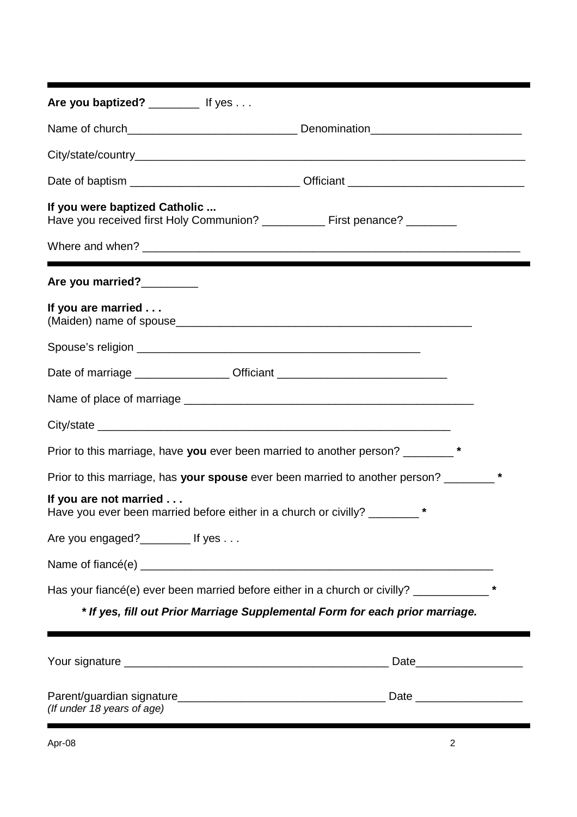| Are you baptized? ___________ If yes                                                                          |  |
|---------------------------------------------------------------------------------------------------------------|--|
|                                                                                                               |  |
|                                                                                                               |  |
|                                                                                                               |  |
| If you were baptized Catholic<br>Have you received first Holy Communion? ____________ First penance? ________ |  |
|                                                                                                               |  |
| Are you married?                                                                                              |  |
| If you are married                                                                                            |  |
|                                                                                                               |  |
| Date of marriage ____________________Officiant _________________________________                              |  |
|                                                                                                               |  |
|                                                                                                               |  |
| Prior to this marriage, have you ever been married to another person? ________*                               |  |
| Prior to this marriage, has your spouse ever been married to another person? _______*                         |  |
| If you are not married<br>Have you ever been married before either in a church or civilly? _______ *          |  |
| Are you engaged? $\frac{1}{2}$ If yes                                                                         |  |
|                                                                                                               |  |
| Has your fiancé(e) ever been married before either in a church or civilly? ____________                       |  |
| * If yes, fill out Prior Marriage Supplemental Form for each prior marriage.                                  |  |
|                                                                                                               |  |
| (If under 18 years of age)                                                                                    |  |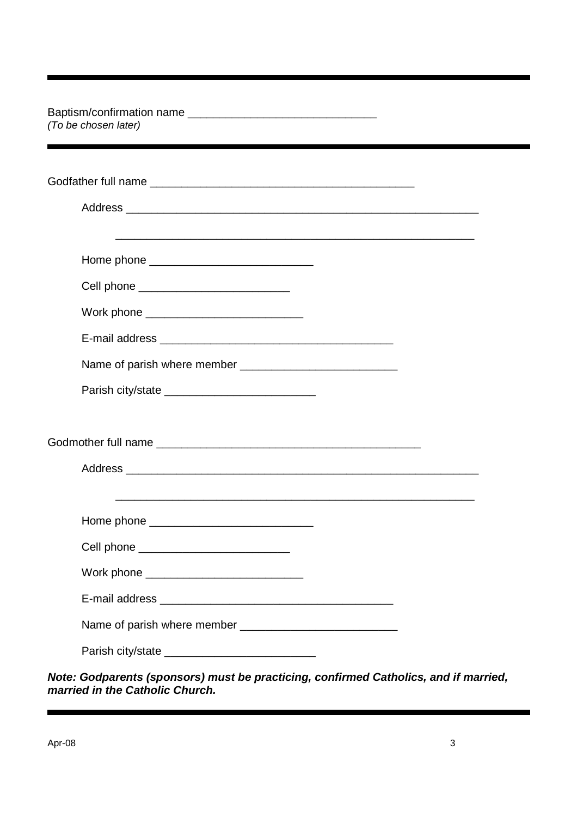| (To be chosen later)                                                                                                  |  |
|-----------------------------------------------------------------------------------------------------------------------|--|
|                                                                                                                       |  |
|                                                                                                                       |  |
| Home phone ________________________________                                                                           |  |
| Cell phone ____________________________                                                                               |  |
| Work phone ______________________________                                                                             |  |
|                                                                                                                       |  |
|                                                                                                                       |  |
| Parish city/state ____________________________                                                                        |  |
|                                                                                                                       |  |
|                                                                                                                       |  |
| <u> 1989 - Johann Stoff, deutscher Stoff, der Stoff, der Stoff, der Stoff, der Stoff, der Stoff, der Stoff, der S</u> |  |
|                                                                                                                       |  |
| Cell phone _____________________________                                                                              |  |
| Work phone ____________________________                                                                               |  |
|                                                                                                                       |  |
|                                                                                                                       |  |
|                                                                                                                       |  |

*Note: Godparents (sponsors) must be practicing, confirmed Catholics, and if married, married in the Catholic Church.*